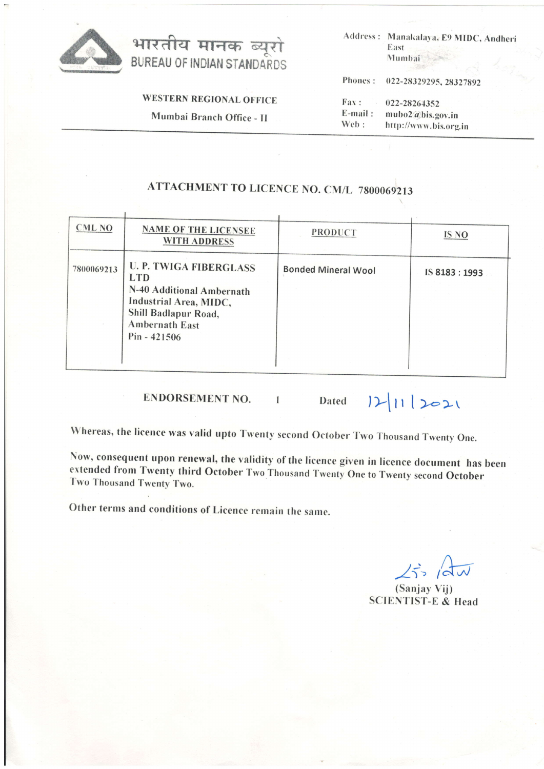



**WESTERN REGIONAL OFFICE** 

Mumbai Branch Office - II

Address: Manakalaya, E9 MIDC, Andheri East Mumbai

Phones: 022-28329295, 28327892

Fax: 022-28264352 E-mail: mubo2@bis.gov.in Web: http://www.bis.org.in

## **ATTACHMENT TO LICENCE NO. CM/L 7800069213**

| <b>CML NO</b> | <b>NAME OF THE LICENSEE</b><br><b>WITH ADDRESS</b>                                                                                                                    | <b>PRODUCT</b>             | IS NO        |
|---------------|-----------------------------------------------------------------------------------------------------------------------------------------------------------------------|----------------------------|--------------|
| 7800069213    | <b>U. P. TWIGA FIBERGLASS</b><br><b>LTD</b><br>N-40 Additional Ambernath<br>Industrial Area, MIDC,<br>Shill Badlapur Road,<br><b>Ambernath East</b><br>$Pin - 421506$ | <b>Bonded Mineral Wool</b> | IS 8183:1993 |

**ENDORSEMENT NO.** 

 $12|11|2021$ Dated

Whereas, the licence was valid upto Twenty second October Two Thousand Twenty One.

 $\overline{1}$ 

Now, consequent upon renewal, the validity of the licence given in licence document has been extended from Twenty third October Two Thousand Twenty One to Twenty second October Two Thousand Twenty Two.

Other terms and conditions of Licence remain the same.

 $25/du$ 

(Sanjay Vij) **SCIENTIST-E & Head**